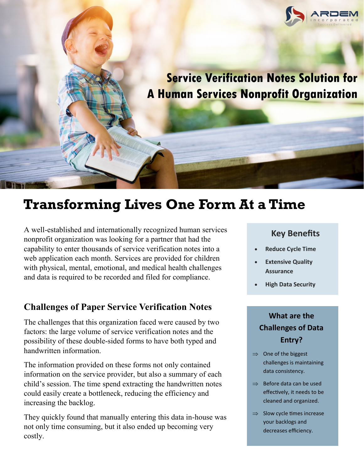

# **Transforming Lives One Form At a Time**

A well-established and internationally recognized human services nonprofit organization was looking for a partner that had the capability to enter thousands of service verification notes into a web application each month. Services are provided for children with physical, mental, emotional, and medical health challenges and data is required to be recorded and filed for compliance.

### **Challenges of Paper Service Verification Notes**

The challenges that this organization faced were caused by two factors: the large volume of service verification notes and the possibility of these double-sided forms to have both typed and handwritten information.

The information provided on these forms not only contained information on the service provider, but also a summary of each child's session. The time spend extracting the handwritten notes could easily create a bottleneck, reducing the efficiency and increasing the backlog.

They quickly found that manually entering this data in-house was not only time consuming, but it also ended up becoming very costly.

## **Key Benefits**

- **Automate? Ask Increase Accuracy Reduce Cycle Time**
- **Extensive Quality** • **Improve** • **Extensive Quality Assurance**
	- **High Data Security**

### **What are the** and **a**nd **there • Are you still using your still using your strip your strip your strip your strip your strip your strip your strip your strip your strip your strip your strip your strip your strip your strip your strip your strip your s** people to check **Challenges of Data**

take data from one

- $\Rightarrow$  One of the biggest challenges is maintaining data consistency.
- $\Rightarrow$  Before data can be used cleaned and organized. effectively, it needs to be
- $\Rightarrow$  Slow cycle times increase your backlogs and enter into the set decreases efficiency.